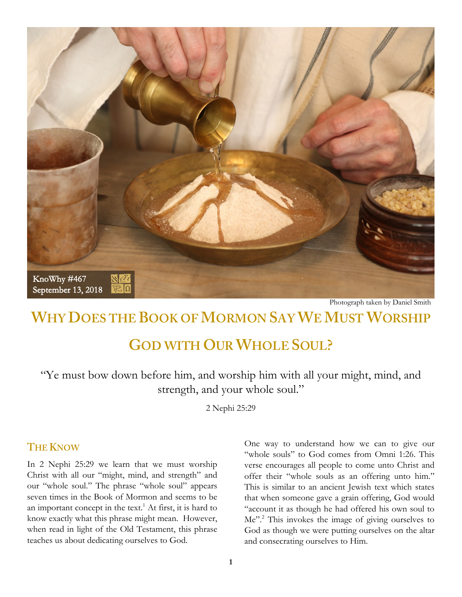

Photograph taken by Daniel Smith

# **WHY DOES THE BOOK OF MORMON SAY WE MUST WORSHIP**

## **GOD WITH OUR WHOLE SOUL?**

"Ye must bow down before him, and worship him with all your might, mind, and strength, and your whole soul."

2 Nephi 25:29

### **THE KNOW**

In 2 Nephi 25:29 we learn that we must worship Christ with all our "might, mind, and strength" and our "whole soul." The phrase "whole soul" appears seven times in the Book of Mormon and seems to be an important concept in the text.<sup>1</sup> At first, it is hard to know exactly what this phrase might mean. However, when read in light of the Old Testament, this phrase teaches us about dedicating ourselves to God.

One way to understand how we can to give our "whole souls" to God comes from Omni 1:26. This verse encourages all people to come unto Christ and offer their "whole souls as an offering unto him." This is similar to an ancient Jewish text which states that when someone gave a grain offering, God would "account it as though he had offered his own soul to Me".<sup>2</sup> This invokes the image of giving ourselves to God as though we were putting ourselves on the altar and consecrating ourselves to Him.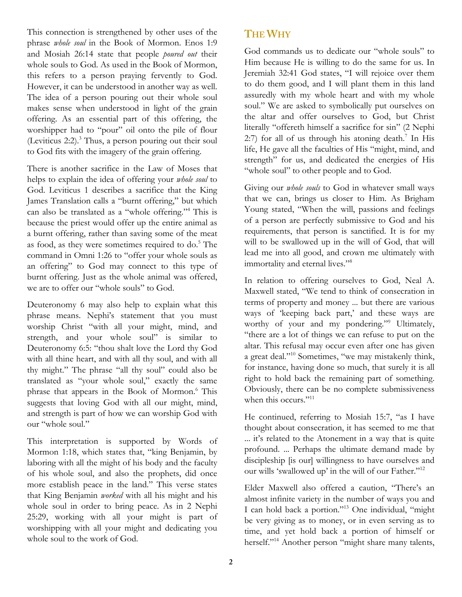This connection is strengthened by other uses of the phrase *whole soul* in the Book of Mormon. Enos 1:9 and Mosiah 26:14 state that people *poured out* their whole souls to God. As used in the Book of Mormon, this refers to a person praying fervently to God. However, it can be understood in another way as well. The idea of a person pouring out their whole soul makes sense when understood in light of the grain offering. As an essential part of this offering, the worshipper had to "pour" oil onto the pile of flour (Leviticus 2:2). $3$  Thus, a person pouring out their soul to God fits with the imagery of the grain offering.

There is another sacrifice in the Law of Moses that helps to explain the idea of offering your *whole soul* to God. Leviticus 1 describes a sacrifice that the King James Translation calls a "burnt offering," but which can also be translated as a "whole offering."4 This is because the priest would offer up the entire animal as a burnt offering, rather than saving some of the meat as food, as they were sometimes required to do. $5$  The command in Omni 1:26 to "offer your whole souls as an offering" to God may connect to this type of burnt offering. Just as the whole animal was offered, we are to offer our "whole souls" to God.

Deuteronomy 6 may also help to explain what this phrase means. Nephi's statement that you must worship Christ "with all your might, mind, and strength, and your whole soul" is similar to Deuteronomy 6:5: "thou shalt love the Lord thy God with all thine heart, and with all thy soul, and with all thy might." The phrase "all thy soul" could also be translated as "your whole soul," exactly the same phrase that appears in the Book of Mormon.<sup>6</sup> This suggests that loving God with all our might, mind, and strength is part of how we can worship God with our "whole soul."

This interpretation is supported by Words of Mormon 1:18, which states that, "king Benjamin, by laboring with all the might of his body and the faculty of his whole soul, and also the prophets, did once more establish peace in the land." This verse states that King Benjamin *worked* with all his might and his whole soul in order to bring peace. As in 2 Nephi 25:29, working with all your might is part of worshipping with all your might and dedicating you whole soul to the work of God.

## **THE WHY**

God commands us to dedicate our "whole souls" to Him because He is willing to do the same for us. In Jeremiah 32:41 God states, "I will rejoice over them to do them good, and I will plant them in this land assuredly with my whole heart and with my whole soul." We are asked to symbolically put ourselves on the altar and offer ourselves to God, but Christ literally "offereth himself a sacrifice for sin" (2 Nephi 2:7) for all of us through his atoning death.<sup>7</sup> In His life, He gave all the faculties of His "might, mind, and strength" for us, and dedicated the energies of His "whole soul" to other people and to God.

Giving our *whole souls* to God in whatever small ways that we can, brings us closer to Him. As Brigham Young stated, "When the will, passions and feelings of a person are perfectly submissive to God and his requirements, that person is sanctified. It is for my will to be swallowed up in the will of God, that will lead me into all good, and crown me ultimately with immortality and eternal lives."<sup>8</sup>

In relation to offering ourselves to God, Neal A. Maxwell stated, "We tend to think of consecration in terms of property and money ... but there are various ways of 'keeping back part,' and these ways are worthy of your and my pondering."<sup>9</sup> Ultimately, "there are a lot of things we can refuse to put on the altar. This refusal may occur even after one has given a great deal."10 Sometimes, "we may mistakenly think, for instance, having done so much, that surely it is all right to hold back the remaining part of something. Obviously, there can be no complete submissiveness when this occurs."<sup>11</sup>

He continued, referring to Mosiah 15:7, "as I have thought about consecration, it has seemed to me that ... it's related to the Atonement in a way that is quite profound. ... Perhaps the ultimate demand made by discipleship [is our] willingness to have ourselves and our wills 'swallowed up' in the will of our Father."12

Elder Maxwell also offered a caution, "There's an almost infinite variety in the number of ways you and I can hold back a portion."13 One individual, "might be very giving as to money, or in even serving as to time, and yet hold back a portion of himself or herself."<sup>14</sup> Another person "might share many talents,